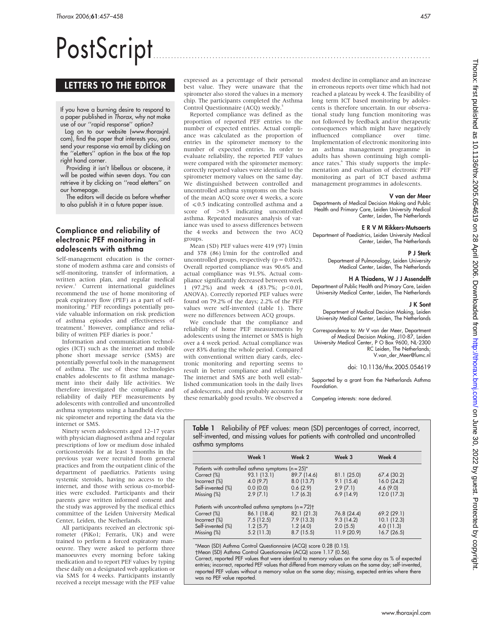# PostScript

# LETTERS TO THE EDITOR

If you have a burning desire to respond to a paper published in Thorax, why not make use of our ''rapid response'' option?

Log on to our website (www.thoraxjnl. com), find the paper that interests you, and send your response via email by clicking on the ''eLetters'' option in the box at the top right hand corner.

Providing it isn't libellous or obscene, it will be posted within seven days. You can retrieve it by clicking on ''read eletters'' on our homepage.

The editors will decide as before whether to also publish it in a future paper issue.

## Compliance and reliability of electronic PEF monitoring in adolescents with asthma

Self-management education is the cornerstone of modern asthma care and consists of self-monitoring, transfer of information, a written action plan, and regular medical review.1 Current international guidelines recommend the use of home monitoring of peak expiratory flow (PEF) as a part of selfmonitoring.2 PEF recordings potentially provide valuable information on risk prediction of asthma episodes and effectiveness of treatment.<sup>3</sup> However, compliance and reliability of written PEF diaries is poor.<sup>4</sup>

Information and communication technologies (ICT) such as the internet and mobile phone short message service (SMS) are potentially powerful tools in the management of asthma. The use of these technologies enables adolescents to fit asthma management into their daily life activities. We therefore investigated the compliance and reliability of daily PEF measurements by adolescents with controlled and uncontrolled asthma symptoms using a handheld electronic spirometer and reporting the data via the internet or SMS.

Ninety seven adolescents aged 12–17 years with physician diagnosed asthma and regular prescriptions of low or medium dose inhaled corticosteroids for at least 3 months in the previous year were recruited from general practices and from the outpatient clinic of the department of paediatrics. Patients using systemic steroids, having no access to the internet, and those with serious co-morbidities were excluded. Participants and their parents gave written informed consent and the study was approved by the medical ethics committee of the Leiden University Medical Center, Leiden, the Netherlands.

All participants received an electronic spirometer (PiKo1; Ferraris, UK) and were trained to perform a forced expiratory manoeuvre. They were asked to perform three manoeuvres every morning before taking medication and to report PEF values by typing these daily on a designated web application or via SMS for 4 weeks. Participants instantly received a receipt message with the PEF value expressed as a percentage of their personal best value. They were unaware that the spirometer also stored the values in a memory chip. The participants completed the Asthma Control Questionnaire (ACQ) weekly.<sup>5</sup>

Reported compliance was defined as the proportion of reported PEF entries to the number of expected entries. Actual compliance was calculated as the proportion of entries in the spirometer memory to the number of expected entries. In order to evaluate reliability, the reported PEF values were compared with the spirometer memory: correctly reported values were identical to the spirometer memory values on the same day. We distinguished between controlled and uncontrolled asthma symptoms on the basis of the mean ACQ score over 4 weeks, a score of  $\leq 0.5$  indicating controlled asthma and a score of  $>0.5$  indicating uncontrolled asthma. Repeated measures analysis of variance was used to assess differences between the 4 weeks and between the two ACQ groups.

Mean (SD) PEF values were 419 (97) l/min and 378 (86) l/min for the controlled and uncontrolled groups, respectively ( $p = 0.052$ ). Overall reported compliance was 90.6% and actual compliance was 91.5%. Actual compliance significantly decreased between week  $\frac{1}{1}$  (97.2%) and week 4 (83.7%; p<0.01, ANOVA). Correctly reported PEF values were found on 79.2% of the days; 2.2% of the PEF values were self-invented (table 1). There were no differences between ACQ groups.

We conclude that the compliance and reliability of home PEF measurements by adolescents using the internet or SMS is high over a 4 week period. Actual compliance was over 83% during the whole period. Compared with conventional written diary cards, electronic monitoring and reporting seems to result in better compliance and reliability.4 The internet and SMS are both well established communication tools in the daily lives of adolescents, and this probably accounts for these remarkably good results. We observed a modest decline in compliance and an increase in erroneous reports over time which had not reached a plateau by week 4. The feasibility of long term ICT based monitoring by adolescents is therefore uncertain. In our observational study lung function monitoring was not followed by feedback and/or therapeutic consequences which might have negatively influenced compliance over time. Implementation of electronic monitoring into an asthma management programme in adults has shown continuing high compliance rates.<sup>6</sup> This study supports the implementation and evaluation of electronic PEF monitoring as part of ICT based asthma management programmes in adolescents.

## V van der Meer

Departments of Medical Decision Making and Public Health and Primary Care, Leiden University Medical Center, Leiden, The Netherlands

## E R V M Rikkers-Mutsaerts

Department of Paediatrics, Leiden University Medical Center, Leiden, The Netherlands

## P J Sterk

Department of Pulmonology, Leiden University Medical Center, Leiden, The Netherlands

#### H A Thiadens, W J J Assendelft

Department of Public Health and Primary Care, Leiden University Medical Center, Leiden, The Netherlands

## J K Sont

Department of Medical Decision Making, Leiden University Medical Center, Leiden, The Netherlands

Correspondence to: Mr V van der Meer, Department of Medical Decision Making, J10-87, Leiden University Medical Center, P O Box 9600, NL-2300 RC Leiden, The Netherlands; V.van\_der\_Meer@lumc.nl

doi: 10.1136/thx.2005.054619

Supported by a grant from the Netherlands Asthma **Foundation** 

Competing interests: none declared.

Table 1 Reliability of PEF values: mean (SD) percentages of correct, incorrect, self-invented, and missing values for patients with controlled and uncontrolled asthma symptoms

|                                                                  | Week 1      | Week 2      | Week 3      | Week 4      |
|------------------------------------------------------------------|-------------|-------------|-------------|-------------|
| Patients with controlled asthma symptoms $(n = 25)^*$            |             |             |             |             |
| Correct (%)                                                      | 93.1 (13.1) | 89.7 (14.6) | 81.1 (25.0) | 67.4 (30.2) |
| Incorrect (%)                                                    | 4.0(9.7)    | 8.0(13.7)   | 9.1(15.4)   | 16.0(24.2)  |
| Self-invented (%)                                                | 0.0(0.0)    | 0.6(2.9)    | 2.9(7.1)    | 4.6(9.0)    |
| Missing $(\%)$                                                   | 2.9(7.1)    | 1.7(6.3)    | 6.9(14.9)   | 12.0 (17.3) |
| Patients with uncontrolled asthma symptoms (n = 72) <sup>+</sup> |             |             |             |             |
| Correct (%)                                                      | 86.1 (18.4) | 82.1 (21.3) | 76.8 (24.4) | 69.2 (29.1) |
| Incorrect (%)                                                    | 7.5(12.5)   | 7.9(13.3)   | 9.3(14.2)   | 10.1(12.3)  |
| Self-invented (%)                                                | 1.2(5.7)    | 1.2(4.0)    | 2.0(5.5)    | 4.0(11.3)   |
| Missing (%)                                                      | 5.2(11.3)   | 8.7(15.5)   | 11.9 (20.9) | 16.7(26.5)  |

\*Mean (SD) Asthma Control Questionnaire (ACQ) score 0.28 (0.15).

-Mean (SD) Asthma Control Questionnaire (ACQ) score 1.17 (0.56).

Correct, reported PEF values that were identical to memory values on the same day as % of expected entries; incorrect, reported PEF values that differed from memory values on the same day; self-invented, reported PEF values without a memory value on the same day; missing, expected entries where there was no PEF value reported.